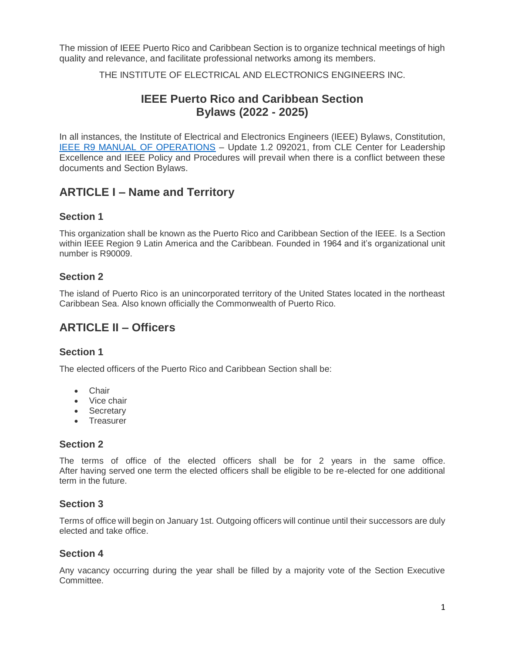The mission of IEEE Puerto Rico and Caribbean Section is to organize technical meetings of high quality and relevance, and facilitate professional networks among its members.

THE INSTITUTE OF ELECTRICAL AND ELECTRONICS ENGINEERS INC.

# **IEEE Puerto Rico and Caribbean Section Bylaws (2022 - 2025)**

In all instances, the Institute of Electrical and Electronics Engineers (IEEE) Bylaws, Constitution, [IEEE R9 MANUAL OF OPERATIONS](https://r9.ieee.org/wp-content/uploads/2021/10/IEEE-R9-MANUAL-OF-OPERATIONS-Update-1.2-092021.pdf) – Update 1.2 092021, from CLE Center for Leadership Excellence and IEEE Policy and Procedures will prevail when there is a conflict between these documents and Section Bylaws.

# **ARTICLE I – Name and Territory**

#### **Section 1**

This organization shall be known as the Puerto Rico and Caribbean Section of the IEEE. Is a Section within IEEE Region 9 Latin America and the Caribbean. Founded in 1964 and it's organizational unit number is R90009.

#### **Section 2**

The island of Puerto Rico is an unincorporated territory of the United States located in the northeast Caribbean Sea. Also known officially the Commonwealth of Puerto Rico.

# **ARTICLE II – Officers**

#### **Section 1**

The elected officers of the Puerto Rico and Caribbean Section shall be:

- Chair
- Vice chair
- Secretary
- Treasurer

#### **Section 2**

The terms of office of the elected officers shall be for 2 years in the same office. After having served one term the elected officers shall be eligible to be re-elected for one additional term in the future.

#### **Section 3**

Terms of office will begin on January 1st. Outgoing officers will continue until their successors are duly elected and take office.

#### **Section 4**

Any vacancy occurring during the year shall be filled by a majority vote of the Section Executive Committee.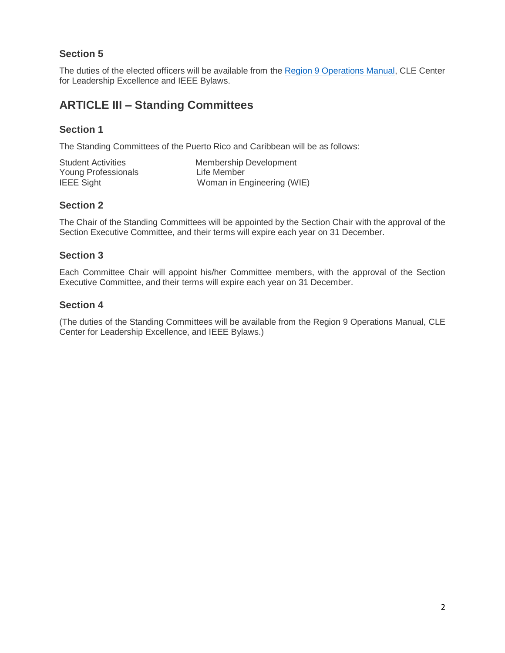# **Section 5**

The duties of the elected officers will be available from the [Region 9 Operations Manual,](https://r9.ieee.org/wp-content/uploads/2021/10/IEEE-R9-MANUAL-OF-OPERATIONS-Update-1.2-092021.pdf) CLE Center for Leadership Excellence and IEEE Bylaws.

# **ARTICLE III – Standing Committees**

### **Section 1**

The Standing Committees of the Puerto Rico and Caribbean will be as follows:

| <b>Student Activities</b> | Membership Development     |
|---------------------------|----------------------------|
| Young Professionals       | Life Member                |
| <b>IEEE Sight</b>         | Woman in Engineering (WIE) |

#### **Section 2**

The Chair of the Standing Committees will be appointed by the Section Chair with the approval of the Section Executive Committee, and their terms will expire each year on 31 December.

#### **Section 3**

Each Committee Chair will appoint his/her Committee members, with the approval of the Section Executive Committee, and their terms will expire each year on 31 December.

#### **Section 4**

(The duties of the Standing Committees will be available from the Region 9 Operations Manual, CLE Center for Leadership Excellence, and IEEE Bylaws.)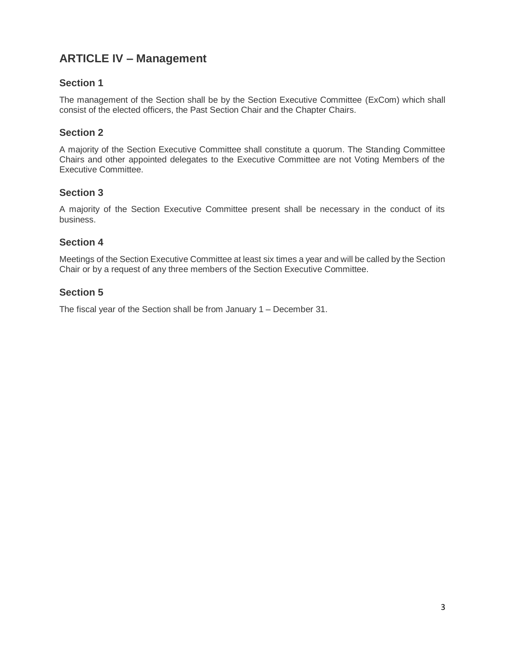# **ARTICLE IV – Management**

#### **Section 1**

The management of the Section shall be by the Section Executive Committee (ExCom) which shall consist of the elected officers, the Past Section Chair and the Chapter Chairs.

#### **Section 2**

A majority of the Section Executive Committee shall constitute a quorum. The Standing Committee Chairs and other appointed delegates to the Executive Committee are not Voting Members of the Executive Committee.

#### **Section 3**

A majority of the Section Executive Committee present shall be necessary in the conduct of its business.

#### **Section 4**

Meetings of the Section Executive Committee at least six times a year and will be called by the Section Chair or by a request of any three members of the Section Executive Committee.

#### **Section 5**

The fiscal year of the Section shall be from January 1 – December 31.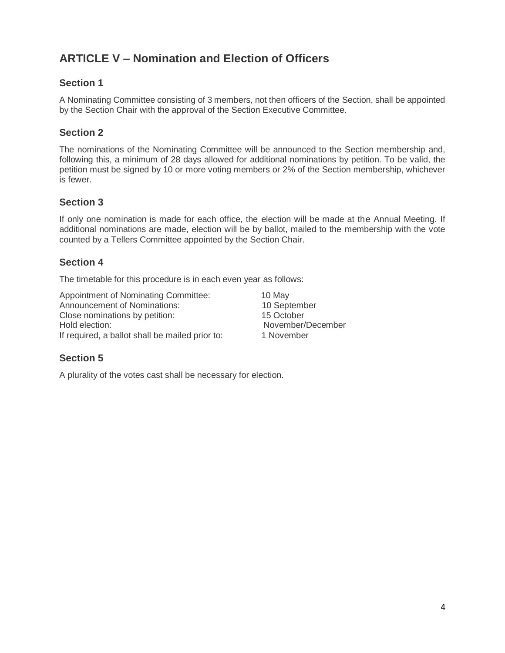# **ARTICLE V – Nomination and Election of Officers**

#### **Section 1**

A Nominating Committee consisting of 3 members, not then officers of the Section, shall be appointed by the Section Chair with the approval of the Section Executive Committee.

### **Section 2**

The nominations of the Nominating Committee will be announced to the Section membership and, following this, a minimum of 28 days allowed for additional nominations by petition. To be valid, the petition must be signed by 10 or more voting members or 2% of the Section membership, whichever is fewer.

#### **Section 3**

If only one nomination is made for each office, the election will be made at the Annual Meeting. If additional nominations are made, election will be by ballot, mailed to the membership with the vote counted by a Tellers Committee appointed by the Section Chair.

#### **Section 4**

The timetable for this procedure is in each even year as follows:

Appointment of Nominating Committee: 10 May Announcement of Nominations: 10 September Close nominations by petition: 15 October Hold election: November/December If required, a ballot shall be mailed prior to: 1 November

## **Section 5**

A plurality of the votes cast shall be necessary for election.